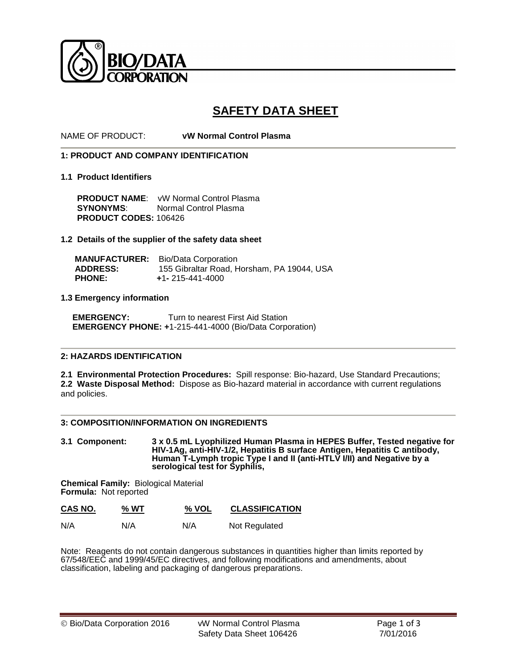

# **SAFETY DATA SHEET**

NAME OF PRODUCT: **vW Normal Control Plasma** 

## **1: PRODUCT AND COMPANY IDENTIFICATION**

#### **1.1 Product Identifiers**

**PRODUCT NAME:** vW Normal Control Plasma<br>**SYNONYMS:** Normal Control Plasma **Normal Control Plasma PRODUCT CODES:** 106426

## **1.2 Details of the supplier of the safety data sheet**

 **MANUFACTURER:** Bio/Data Corporation **ADDRESS:** 155 Gibraltar Road, Horsham, PA 19044, USA  **PHONE: +**1**-** 215-441-4000

#### **1.3 Emergency information**

**EMERGENCY:** Turn to nearest First Aid Station  **EMERGENCY PHONE: +**1-215-441-4000 (Bio/Data Corporation)

#### **2: HAZARDS IDENTIFICATION**

**2.1 Environmental Protection Procedures:** Spill response: Bio-hazard, Use Standard Precautions; **2.2 Waste Disposal Method:** Dispose as Bio-hazard material in accordance with current regulations and policies.

#### **3: COMPOSITION/INFORMATION ON INGREDIENTS**

**3.1 Component: 3 x 0.5 mL Lyophilized Human Plasma in HEPES Buffer, Tested negative for HIV-1Ag, anti-HIV-1/2, Hepatitis B surface Antigen, Hepatitis C antibody, Human T-Lymph tropic Type I and II (anti-HTLV I/II) and Negative by a serological test for Syphilis,** 

**Chemical Family:** Biological Material **Formula:** Not reported

| CAS NO. | % WT | % VOL | <b>CLASSIFICATION</b> |
|---------|------|-------|-----------------------|
|         |      |       |                       |

| N/A<br>N/A<br>N/A | Not Regulated |
|-------------------|---------------|
|-------------------|---------------|

Note: Reagents do not contain dangerous substances in quantities higher than limits reported by 67/548/EEC and 1999/45/EC directives, and following modifications and amendments, about classification, labeling and packaging of dangerous preparations.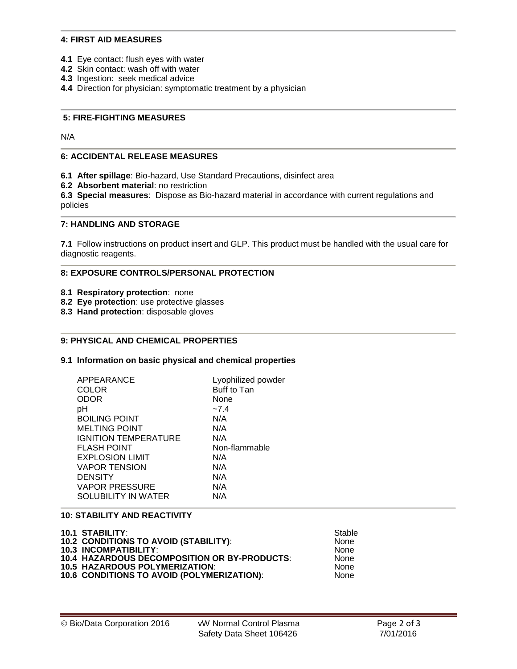#### **4: FIRST AID MEASURES**

- **4.1** Eye contact: flush eyes with water
- **4.2** Skin contact: wash off with water
- **4.3** Ingestion: seek medical advice
- **4.4** Direction for physician: symptomatic treatment by a physician

## **5: FIRE-FIGHTING MEASURES**

N/A

#### **6: ACCIDENTAL RELEASE MEASURES**

- **6.1 After spillage**: Bio-hazard, Use Standard Precautions, disinfect area
- **6.2 Absorbent material**: no restriction

**6.3 Special measures**: Dispose as Bio-hazard material in accordance with current regulations and policies

## **7: HANDLING AND STORAGE**

**7.1** Follow instructions on product insert and GLP. This product must be handled with the usual care for diagnostic reagents.

#### **8: EXPOSURE CONTROLS/PERSONAL PROTECTION**

- **8.1 Respiratory protection**: none
- **8.2 Eye protection**: use protective glasses
- **8.3 Hand protection**: disposable gloves

# **9: PHYSICAL AND CHEMICAL PROPERTIES**

#### **9.1 Information on basic physical and chemical properties**

| APPEARANCE                  | Lyophilized powder |
|-----------------------------|--------------------|
| COLOR                       | Buff to Tan        |
| ODOR                        | None               |
| рH                          | $-7.4$             |
| <b>BOILING POINT</b>        | N/A                |
| <b>MELTING POINT</b>        | N/A                |
| <b>IGNITION TEMPERATURE</b> | N/A                |
| <b>FLASH POINT</b>          | Non-flammable      |
| <b>EXPLOSION LIMIT</b>      | N/A                |
| <b>VAPOR TENSION</b>        | N/A                |
| <b>DENSITY</b>              | N/A                |
| <b>VAPOR PRESSURE</b>       | N/A                |
| SOLUBILITY IN WATER         | N/A                |
|                             |                    |

# **10: STABILITY AND REACTIVITY**

| <b>10.1 STABILITY:</b>                       | Stable      |
|----------------------------------------------|-------------|
| 10.2 CONDITIONS TO AVOID (STABILITY):        | <b>None</b> |
| <b>10.3 INCOMPATIBILITY:</b>                 | <b>None</b> |
| 10.4 HAZARDOUS DECOMPOSITION OR BY-PRODUCTS: | <b>None</b> |
| <b>10.5 HAZARDOUS POLYMERIZATION:</b>        | <b>None</b> |
| 10.6 CONDITIONS TO AVOID (POLYMERIZATION):   | <b>None</b> |